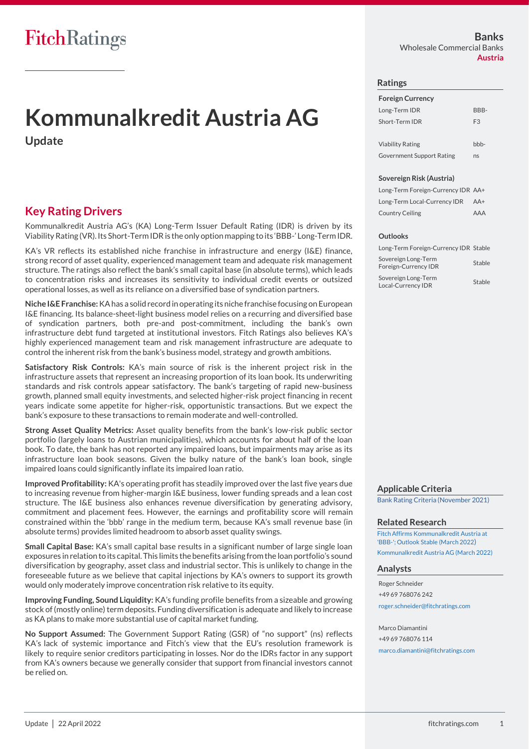# **Kommunalkredit Austria AG**

**Update**

## **Key Rating Drivers**

Kommunalkredit Austria AG's (KA) Long-Term Issuer Default Rating (IDR) is driven by its Viability Rating (VR). Its Short-Term IDR is the only option mapping to its 'BBB-' Long-Term IDR.

KA's VR reflects its established niche franchise in infrastructure and energy (I&E) finance, strong record of asset quality, experienced management team and adequate risk management structure. The ratings also reflect the bank's small capital base (in absolute terms), which leads to concentration risks and increases its sensitivity to individual credit events or outsized operational losses, as well as its reliance on a diversified base of syndication partners.

**Niche I&E Franchise:** KA has a solid record in operating its niche franchise focusing on European I&E financing. Its balance-sheet-light business model relies on a recurring and diversified base of syndication partners, both pre-and post-commitment, including the bank's own infrastructure debt fund targeted at institutional investors. Fitch Ratings also believes KA's highly experienced management team and risk management infrastructure are adequate to control the inherent risk from the bank's business model, strategy and growth ambitions.

**Satisfactory Risk Controls:** KA's main source of risk is the inherent project risk in the infrastructure assets that represent an increasing proportion of its loan book. Its underwriting standards and risk controls appear satisfactory. The bank's targeting of rapid new-business growth, planned small equity investments, and selected higher-risk project financing in recent years indicate some appetite for higher-risk, opportunistic transactions. But we expect the bank's exposure to these transactions to remain moderate and well-controlled.

**Strong Asset Quality Metrics:** Asset quality benefits from the bank's low-risk public sector portfolio (largely loans to Austrian municipalities), which accounts for about half of the loan book. To date, the bank has not reported any impaired loans, but impairments may arise as its infrastructure loan book seasons. Given the bulky nature of the bank's loan book, single impaired loans could significantly inflate its impaired loan ratio.

**Improved Profitability:** KA's operating profit has steadily improved over the last five years due to increasing revenue from higher-margin I&E business, lower funding spreads and a lean cost structure. The I&E business also enhances revenue diversification by generating advisory, commitment and placement fees. However, the earnings and profitability score will remain constrained within the 'bbb' range in the medium term, because KA's small revenue base (in absolute terms) provides limited headroom to absorb asset quality swings.

**Small Capital Base:** KA's small capital base results in a significant number of large single loan exposures in relation to its capital. This limits the benefits arising from the loan portfolio's sound diversification by geography, asset class and industrial sector. This is unlikely to change in the foreseeable future as we believe that capital injections by KA's owners to support its growth would only moderately improve concentration risk relative to its equity.

**Improving Funding, Sound Liquidity:** KA's funding profile benefits from a sizeable and growing stock of (mostly online) term deposits. Funding diversification is adequate and likely to increase as KA plans to make more substantial use of capital market funding.

**No Support Assumed:** The Government Support Rating (GSR) of "no support" (ns) reflects KA's lack of systemic importance and Fitch's view that the EU's resolution framework is likely to require senior creditors participating in losses. Nor do the IDRs factor in any support from KA's owners because we generally consider that support from financial investors cannot be relied on.

**Banks** Wholesale Commercial Banks **Austria**

#### **Ratings**

| <b>Foreign Currency</b> |                |
|-------------------------|----------------|
| Long-Term IDR           | BBB-           |
| Short-Term IDR          | F <sub>3</sub> |
|                         |                |
| <b>Viability Rating</b> |                |

Government Support Rating ns

#### **Sovereign Risk (Austria)**

Long-Term Foreign-Currency IDR AA+ Long-Term Local-Currency IDR AA+ Country Ceiling AAA

#### **Outlooks**

| Long-Term Foreign-Currency IDR Stable       |        |
|---------------------------------------------|--------|
| Sovereign Long-Term<br>Foreign-Currency IDR | Stable |
| Sovereign Long-Term<br>Local-Currency IDR   | Stable |

**Applicable Criteria** [Bank Rating Criteria \(November 2021\)](https://www.fitchratings.com/site/re/10182112)

#### **Related Research**

[Fitch Affirms Kommunalkredit Austria at](https://www.fitchratings.com/research/banks/fitch-affirms-kommunalkredit-austria-at-bbb-outlook-stable-02-03-2022)  ['BBB-'; Outlook Stable \(March 2022](https://www.fitchratings.com/research/banks/fitch-affirms-kommunalkredit-austria-at-bbb-outlook-stable-02-03-2022)) [Kommunalkredit Austria AG \(March 2022\)](https://www.fitchratings.com/research/banks/kommunalkredit-austria-ag-21-03-2022)

#### **Analysts**

Roger Schneider +49 69 768076 242 [roger.schneider@fitchratings.com](mailto:roger.schneider@fitchratings.com)

Marco Diamantini +49 69 768076 114 [marco.diamantini@fitchratings.com](mailto:marco.diamantini@fitchratings.com)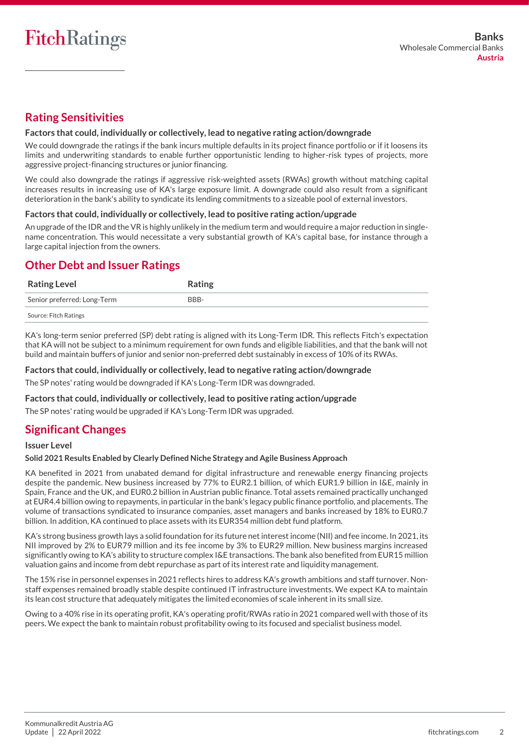## **Rating Sensitivities**

#### **Factors that could, individually or collectively, lead to negative rating action/downgrade**

We could downgrade the ratings if the bank incurs multiple defaults in its project finance portfolio or if it loosens its limits and underwriting standards to enable further opportunistic lending to higher-risk types of projects, more aggressive project-financing structures or junior financing.

We could also downgrade the ratings if aggressive risk-weighted assets (RWAs) growth without matching capital increases results in increasing use of KA's large exposure limit. A downgrade could also result from a significant deterioration in the bank's ability to syndicate its lending commitments to a sizeable pool of external investors.

#### **Factors that could, individually or collectively, lead to positive rating action/upgrade**

An upgrade of the IDR and the VR is highly unlikely in the medium term and would require a major reduction in singlename concentration. This would necessitate a very substantial growth of KA's capital base, for instance through a large capital injection from the owners.

## **Other Debt and Issuer Ratings**

| <b>Rating Level</b>         | Rating |
|-----------------------------|--------|
| Senior preferred: Long-Term | BBB-   |
| Source: Fitch Ratings       |        |

KA's long-term senior preferred (SP) debt rating is aligned with its Long-Term IDR. This reflects Fitch's expectation that KA will not be subject to a minimum requirement for own funds and eligible liabilities, and that the bank will not build and maintain buffers of junior and senior non-preferred debt sustainably in excess of 10% of its RWAs.

#### **Factors that could, individually or collectively, lead to negative rating action/downgrade**

The SP notes' rating would be downgraded if KA's Long-Term IDR was downgraded.

#### **Factors that could, individually or collectively, lead to positive rating action/upgrade**

The SP notes' rating would be upgraded if KA's Long-Term IDR was upgraded.

## **Significant Changes**

#### **Issuer Level**

#### **Solid 2021 Results Enabled by Clearly Defined Niche Strategy and Agile Business Approach**

KA benefited in 2021 from unabated demand for digital infrastructure and renewable energy financing projects despite the pandemic. New business increased by 77% to EUR2.1 billion, of which EUR1.9 billion in I&E, mainly in Spain, France and the UK, and EUR0.2 billion in Austrian public finance. Total assets remained practically unchanged at EUR4.4 billion owing to repayments, in particular in the bank's legacy public finance portfolio, and placements. The volume of transactions syndicated to insurance companies, asset managers and banks increased by 18% to EUR0.7 billion. In addition, KA continued to place assets with its EUR354 million debt fund platform.

KA's strong business growth lays a solid foundation for its future net interestincome (NII) and fee income. In 2021, its NII improved by 2% to EUR79 million and its fee income by 3% to EUR29 million. New business margins increased significantly owing to KA's ability to structure complex I&E transactions. The bank also benefited from EUR15 million valuation gains and income from debt repurchase as part of its interest rate and liquidity management.

The 15% rise in personnel expenses in 2021 reflects hires to address KA's growth ambitions and staff turnover. Nonstaff expenses remained broadly stable despite continued IT infrastructure investments. We expect KA to maintain its lean cost structure that adequately mitigates the limited economies of scale inherent in its small size.

Owing to a 40% rise in its operating profit, KA's operating profit/RWAs ratio in 2021 compared well with those of its peers. We expect the bank to maintain robust profitability owing to its focused and specialist business model.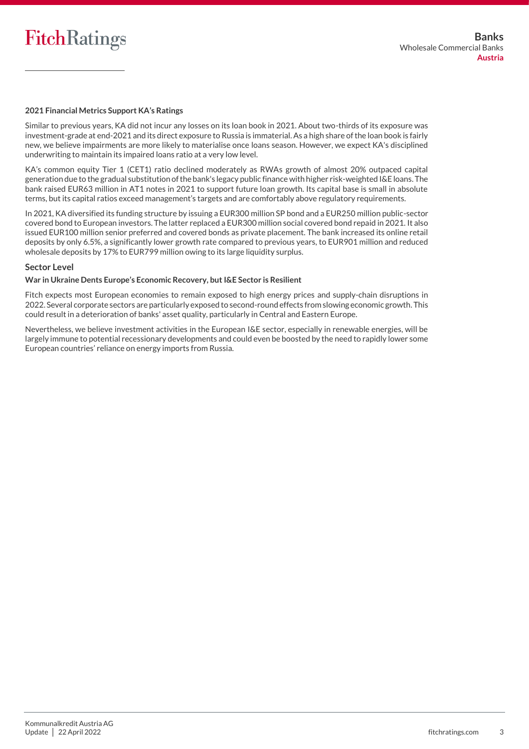

#### **2021 Financial Metrics Support KA's Ratings**

Similar to previous years, KA did not incur any losses on its loan book in 2021. About two-thirds of its exposure was investment-grade at end-2021 and its direct exposure to Russia is immaterial. As a high share of the loan book is fairly new, we believe impairments are more likely to materialise once loans season. However, we expect KA's disciplined underwriting to maintain its impaired loans ratio at a very low level.

KA's common equity Tier 1 (CET1) ratio declined moderately as RWAs growth of almost 20% outpaced capital generation due to the gradual substitution of the bank's legacy public finance with higher risk-weighted I&E loans. The bank raised EUR63 million in AT1 notes in 2021 to support future loan growth. Its capital base is small in absolute terms, but its capital ratios exceed management's targets and are comfortably above regulatory requirements.

In 2021, KA diversified its funding structure by issuing a EUR300 million SP bond and a EUR250 million public-sector covered bond to European investors. The latter replaced a EUR300 million social covered bond repaid in 2021. It also issued EUR100 million senior preferred and covered bonds as private placement. The bank increased its online retail deposits by only 6.5%, a significantly lower growth rate compared to previous years, to EUR901 million and reduced wholesale deposits by 17% to EUR799 million owing to its large liquidity surplus.

#### **Sector Level**

#### **War in Ukraine Dents Europe's Economic Recovery, but I&E Sector is Resilient**

Fitch expects most European economies to remain exposed to high energy prices and supply-chain disruptions in 2022. Several corporate sectors are particularly exposed to second-round effects from slowing economic growth. This could result in a deterioration of banks' asset quality, particularly in Central and Eastern Europe.

Nevertheless, we believe investment activities in the European I&E sector, especially in renewable energies, will be largely immune to potential recessionary developments and could even be boosted by the need to rapidly lower some European countries' reliance on energy imports from Russia.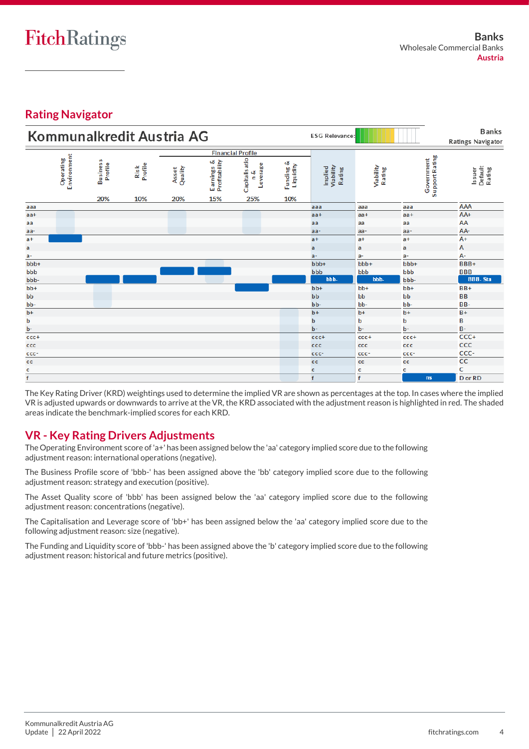## **Rating Navigator**

| Kommunalkredit Austria AG<br><b>ESG Relevance:</b> |                          |                            |                        |                         |                             |                                      |                                  |                                |                     |                              | <b>Banks</b><br><b>Ratings Navigator</b> |
|----------------------------------------------------|--------------------------|----------------------------|------------------------|-------------------------|-----------------------------|--------------------------------------|----------------------------------|--------------------------------|---------------------|------------------------------|------------------------------------------|
|                                                    |                          |                            |                        |                         |                             | <b>Financial Profile</b>             |                                  |                                |                     |                              |                                          |
|                                                    | Environment<br>Operating | Business<br>Profile<br>20% | Profile<br>Risk<br>10% | Quality<br>Asset<br>20% | Earnings &<br>Profitability | Capitalis atio<br>Leverage<br>త<br>c | త<br>Liquidity<br>Funding<br>10% | Implied<br>Viability<br>Rating | Viability<br>Rating | Support Rating<br>Government | Default<br>Rating<br>Issuer              |
| aaa                                                |                          |                            |                        |                         | 15%                         | 25%                                  |                                  | aaa                            | aaa                 | aaa                          | <b>AAA</b>                               |
| $aa+$                                              |                          |                            |                        |                         |                             |                                      |                                  | $aa+$                          | $aa +$              | $aa+$                        | AA+                                      |
| aa                                                 |                          |                            |                        |                         |                             |                                      |                                  | aa                             | aa                  | aa                           | AA                                       |
|                                                    |                          |                            |                        |                         |                             |                                      |                                  | $aa-$                          | aa-                 | $aa-$                        | AA-                                      |
| aa-<br>$a +$                                       |                          |                            |                        |                         |                             |                                      |                                  | $a +$                          | $a+$                | $a +$                        | $A+$                                     |
| a                                                  |                          |                            |                        |                         |                             |                                      |                                  | a                              | a                   | a                            | А                                        |
|                                                    |                          |                            |                        |                         |                             |                                      |                                  | $a-$                           | a-                  | a-                           | А-                                       |
| $a-$<br>$bbb+$                                     |                          |                            |                        |                         |                             |                                      |                                  | $bbb+$                         | $bbb+$              | bbb+                         | BBB+                                     |
| bbb                                                |                          |                            |                        |                         |                             |                                      |                                  | bbb                            | bbb                 | bbb                          | <b>BBB</b>                               |
| bbb-                                               |                          |                            |                        |                         |                             |                                      |                                  | bbb-                           | bbb-                | bbb-                         | <b>BBB-Sta</b>                           |
| $bb+$                                              |                          |                            |                        |                         |                             |                                      |                                  | $bb+$                          | $bb+$               | bb+                          | $BB+$                                    |
| bb                                                 |                          |                            |                        |                         |                             |                                      |                                  | bb                             | bb                  | bb                           | <b>BB</b>                                |
| bb-                                                |                          |                            |                        |                         |                             |                                      |                                  | bb-                            | bb-                 | bb-                          | BB-                                      |
| $\overline{b+}$                                    |                          |                            |                        |                         |                             |                                      |                                  | $b+$                           | $b+$                | $b+$                         | $B +$                                    |
| b                                                  |                          |                            |                        |                         |                             |                                      |                                  | $\mathbf b$                    | b                   | þ                            | B                                        |
| b-                                                 |                          |                            |                        |                         |                             |                                      |                                  | $b -$                          | b-                  | $b -$                        | $B -$                                    |
| $cc +$                                             |                          |                            |                        |                         |                             |                                      |                                  | cc <sub>c</sub>                | $ccc +$             | cc <sub>ct</sub>             | CCC+                                     |
| ccc                                                |                          |                            |                        |                         |                             |                                      |                                  | ccc                            | ccc                 | ccc                          | CCC                                      |
| ccc-                                               |                          |                            |                        |                         |                             |                                      |                                  | ccc-                           | ccc-                | ccc-                         | CCC-                                     |
| cc                                                 |                          |                            |                        |                         |                             |                                      |                                  | cc                             | cc                  | cс                           | <b>CC</b>                                |
| c                                                  |                          |                            |                        |                         |                             |                                      |                                  | c                              | c                   | c                            | c                                        |
| $\overline{\mathsf{f}}$                            |                          |                            |                        |                         |                             |                                      |                                  | f                              | $\mathbf f$         | ns                           | D or RD                                  |

The Key Rating Driver (KRD) weightings used to determine the implied VR are shown as percentages at the top. In cases where the implied VR is adjusted upwards or downwards to arrive at the VR, the KRD associated with the adjustment reason is highlighted in red. The shaded areas indicate the benchmark-implied scores for each KRD.

## **VR - Key Rating Drivers Adjustments**

The Operating Environment score of 'a+' has been assigned below the 'aa' category implied score due to the following adjustment reason: international operations (negative).

The Business Profile score of 'bbb-' has been assigned above the 'bb' category implied score due to the following adjustment reason: strategy and execution (positive).

The Asset Quality score of 'bbb' has been assigned below the 'aa' category implied score due to the following adjustment reason: concentrations (negative).

The Capitalisation and Leverage score of 'bb+' has been assigned below the 'aa' category implied score due to the following adjustment reason: size (negative).

The Funding and Liquidity score of 'bbb-' has been assigned above the 'b' category implied score due to the following adjustment reason: historical and future metrics (positive).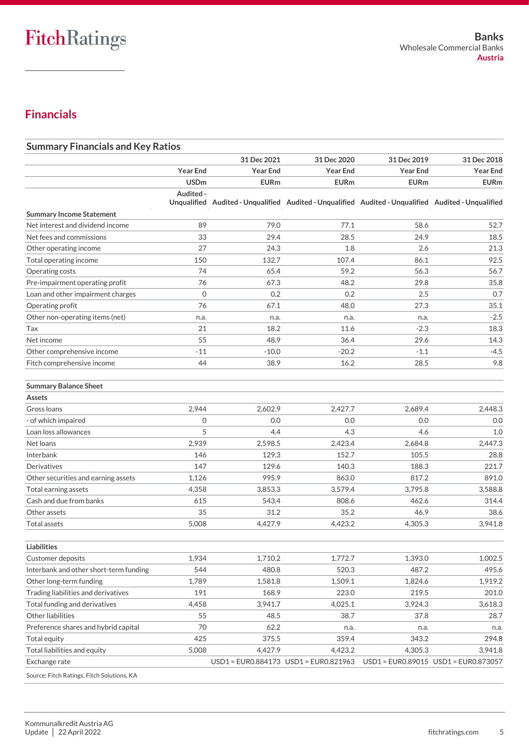## **Financials**

| <b>Summary Financials and Key Ratios</b>   |                 |                                       |                                                                                                     |                 |                 |
|--------------------------------------------|-----------------|---------------------------------------|-----------------------------------------------------------------------------------------------------|-----------------|-----------------|
|                                            |                 | 31 Dec 2021                           | 31 Dec 2020                                                                                         | 31 Dec 2019     | 31 Dec 2018     |
|                                            | <b>Year End</b> | <b>Year End</b>                       | <b>Year End</b>                                                                                     | <b>Year End</b> | <b>Year End</b> |
|                                            | <b>USDm</b>     | <b>EURm</b>                           | <b>EURm</b>                                                                                         | <b>EURm</b>     | <b>EURm</b>     |
|                                            | Audited -       |                                       | Unqualified Audited - Unqualified Audited - Unqualified Audited - Unqualified Audited - Unqualified |                 |                 |
| <b>Summary Income Statement</b>            |                 |                                       |                                                                                                     |                 |                 |
| Net interest and dividend income           | 89              | 79.0                                  | 77.1                                                                                                | 58.6            | 52.7            |
| Net fees and commissions                   | 33              | 29.4                                  | 28.5                                                                                                | 24.9            | 18.5            |
| Other operating income                     | 27              | 24.3                                  | 1.8                                                                                                 | 2.6             | 21.3            |
| Total operating income                     | 150             | 132.7                                 | 107.4                                                                                               | 86.1            | 92.5            |
| Operating costs                            | 74              | 65.4                                  | 59.2                                                                                                | 56.3            | 56.7            |
| Pre-impairment operating profit            | 76              | 67.3                                  | 48.2                                                                                                | 29.8            | 35.8            |
| Loan and other impairment charges          | $\mathbf{0}$    | 0.2                                   | 0.2                                                                                                 | 2.5             | 0.7             |
| Operating profit                           | 76              | 67.1                                  | 48.0                                                                                                | 27.3            | 35.1            |
| Other non-operating items (net)            | n.a.            | n.a.                                  | n.a.                                                                                                | n.a.            | $-2.5$          |
| Tax                                        | 21              | 18.2                                  | 11.6                                                                                                | $-2.3$          | 18.3            |
| Net income                                 | 55              | 48.9                                  | 36.4                                                                                                | 29.6            | 14.3            |
| Other comprehensive income                 | $-11$           | $-10.0$                               | $-20.2$                                                                                             | $-1.1$          | $-4.5$          |
| Fitch comprehensive income                 | 44              | 38.9                                  | 16.2                                                                                                | 28.5            | 9.8             |
| <b>Summary Balance Sheet</b>               |                 |                                       |                                                                                                     |                 |                 |
| Assets                                     |                 |                                       |                                                                                                     |                 |                 |
| Gross Ioans                                | 2,944           | 2,602.9                               | 2,427.7                                                                                             | 2,689.4         | 2,448.3         |
| - of which impaired                        | 0               | 0.0                                   | 0.0                                                                                                 | 0.0             | 0.0             |
| Loan loss allowances                       | 5               | 4.4                                   | 4.3                                                                                                 | 4.6             | 1.0             |
| Net loans                                  | 2,939           | 2,598.5                               | 2,423.4                                                                                             | 2,684.8         | 2,447.3         |
| Interbank                                  | 146             | 129.3                                 | 152.7                                                                                               | 105.5           | 28.8            |
| Derivatives                                | 147             | 129.6                                 | 140.3                                                                                               | 188.3           | 221.7           |
| Other securities and earning assets        | 1,126           | 995.9                                 | 863.0                                                                                               | 817.2           | 891.0           |
| Total earning assets                       | 4,358           | 3,853.3                               | 3,579.4                                                                                             | 3,795.8         | 3,588.8         |
| Cash and due from banks                    | 615             | 543.4                                 | 808.6                                                                                               | 462.6           | 314.4           |
| Other assets                               | 35              | 31.2                                  | 35.2                                                                                                | 46.9            | 38.6            |
| <b>Total assets</b>                        | 5,008           | 4,427.9                               | 4,423.2                                                                                             | 4,305.3         | 3,941.8         |
| Liabilities                                |                 |                                       |                                                                                                     |                 |                 |
| Customer deposits                          | 1,934           | 1,710.2                               | 1,772.7                                                                                             | 1,393.0         | 1,002.5         |
| Interbank and other short-term funding     | 544             | 480.8                                 | 520.3                                                                                               | 487.2           | 495.6           |
| Other long-term funding                    | 1,789           | 1,581.8                               | 1,509.1                                                                                             | 1,824.6         | 1,919.2         |
| Trading liabilities and derivatives        | 191             | 168.9                                 | 223.0                                                                                               | 219.5           | 201.0           |
| Total funding and derivatives              | 4,458           | 3,941.7                               | 4,025.1                                                                                             | 3,924.3         | 3,618.3         |
| Other liabilities                          | 55              | 48.5                                  | 38.7                                                                                                | 37.8            | 28.7            |
| Preference shares and hybrid capital       | 70              | 62.2                                  | n.a.                                                                                                | n.a.            | n.a.            |
| <b>Total equity</b>                        | 425             | 375.5                                 | 359.4                                                                                               | 343.2           | 294.8           |
| Total liabilities and equity               | 5,008           | 4,427.9                               | 4,423.2                                                                                             | 4,305.3         | 3,941.8         |
| Exchange rate                              |                 | USD1 = EUR0.884173 USD1 = EUR0.821963 |                                                                                                     |                 |                 |
| Source: Fitch Ratings, Fitch Solutions, KA |                 |                                       |                                                                                                     |                 |                 |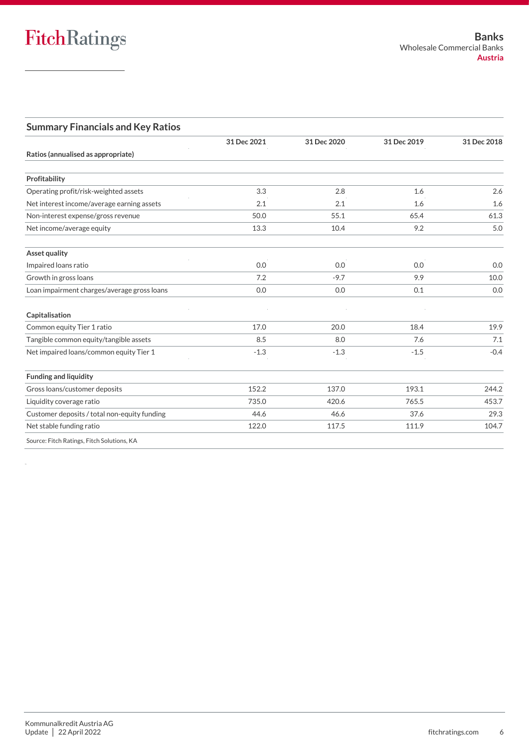### **Summary Financials and Key Ratios**

|                                              | 31 Dec 2021 | 31 Dec 2020 | 31 Dec 2019 | 31 Dec 2018 |
|----------------------------------------------|-------------|-------------|-------------|-------------|
| Ratios (annualised as appropriate)           |             |             |             |             |
| Profitability                                |             |             |             |             |
| Operating profit/risk-weighted assets        | 3.3         | 2.8         | 1.6         | 2.6         |
| Net interest income/average earning assets   | 2.1         | 2.1         | 1.6         | 1.6         |
| Non-interest expense/gross revenue           | 50.0        | 55.1        | 65.4        | 61.3        |
| Net income/average equity                    | 13.3        | 10.4        | 9.2         | 5.0         |
| <b>Asset quality</b>                         |             |             |             |             |
| Impaired loans ratio                         | 0.0         | 0.0         | 0.0         | 0.0         |
| Growth in gross loans                        | 7.2         | $-9.7$      | 9.9         | 10.0        |
| Loan impairment charges/average gross loans  | 0.0         | 0.0         | 0.1         | 0.0         |
| Capitalisation                               |             |             |             |             |
| Common equity Tier 1 ratio                   | 17.0        | 20.0        | 18.4        | 19.9        |
| Tangible common equity/tangible assets       | 8.5         | 8.0         | 7.6         | 7.1         |
| Net impaired loans/common equity Tier 1      | $-1.3$      | $-1.3$      | $-1.5$      | $-0.4$      |
| <b>Funding and liquidity</b>                 |             |             |             |             |
| Gross loans/customer deposits                | 152.2       | 137.0       | 193.1       | 244.2       |
| Liquidity coverage ratio                     | 735.0       | 420.6       | 765.5       | 453.7       |
| Customer deposits / total non-equity funding | 44.6        | 46.6        | 37.6        | 29.3        |
| Net stable funding ratio                     | 122.0       | 117.5       | 111.9       | 104.7       |
| Source: Fitch Ratings, Fitch Solutions, KA   |             |             |             |             |

Source: Fitch Ratings, Fitch Solutions, KA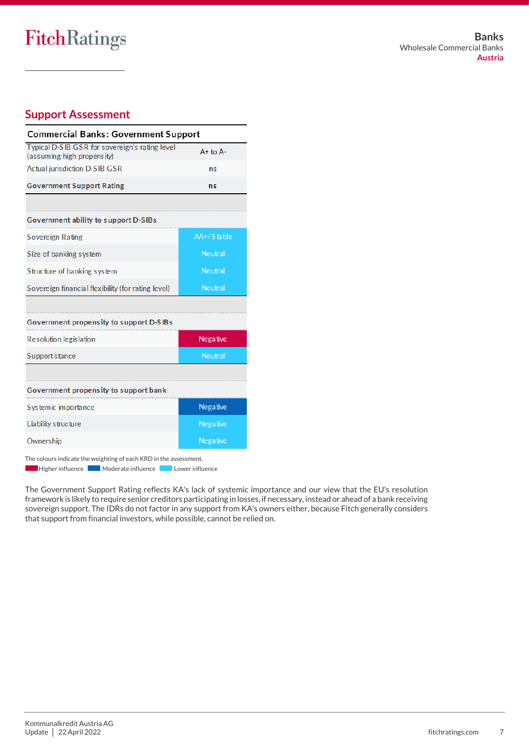## FitchRatings

## **Support Assessment**

| <b>Commercial Banks: Government Support</b>                                   |                |  |  |  |  |
|-------------------------------------------------------------------------------|----------------|--|--|--|--|
| Typical D-S IB GSR for sovereign's rating level<br>(assuming high propensity) | $A+$ to $A-$   |  |  |  |  |
| <b>Actual jurisdiction D-SIB GSR</b>                                          | ns             |  |  |  |  |
| <b>Government Support Rating</b>                                              | ns             |  |  |  |  |
|                                                                               |                |  |  |  |  |
| Government ability to support D-SIBs                                          |                |  |  |  |  |
| Sovereign Rating                                                              | AA+/Stable     |  |  |  |  |
| Size of banking system                                                        | <b>Neutral</b> |  |  |  |  |
| Structure of banking system                                                   | <b>Neutral</b> |  |  |  |  |
| Sovereign financial flexibility (for rating level)                            | <b>Neutral</b> |  |  |  |  |
|                                                                               |                |  |  |  |  |
| Government propensity to support D-SIBs                                       |                |  |  |  |  |
| Resolution legislation                                                        | Negative       |  |  |  |  |
| Support stance                                                                | Neutral        |  |  |  |  |
|                                                                               |                |  |  |  |  |
| Government propensity to support bank                                         |                |  |  |  |  |
| Systemic importance                                                           | Negative       |  |  |  |  |
| Liability structure<br>Negative                                               |                |  |  |  |  |
| Negative<br>Owners hip                                                        |                |  |  |  |  |

The colours indicate the weighting of each KRD in the assessment.

Higher influence Moderate influence Lower influence Г

The Government Support Rating reflects KA's lack of systemic importance and our view that the EU's resolution framework is likely to require senior creditors participating in losses, if necessary, instead or ahead of a bank receiving sovereign support. The IDRs do not factor in any support from KA's owners either, because Fitch generally considers that support from financial investors, while possible, cannot be relied on.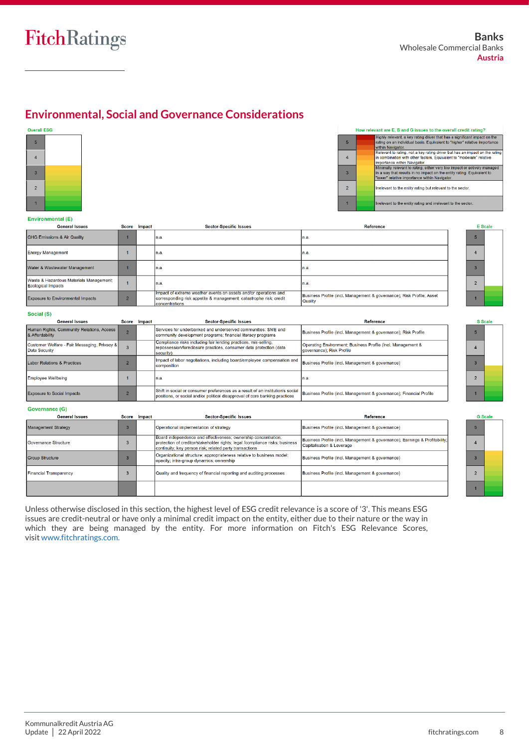## **Environmental, Social and Governance Considerations**

#### Overall ESG



|                | How relevant are E, 5 and G issues to the overall credit rating?                                                                                                                                    |
|----------------|-----------------------------------------------------------------------------------------------------------------------------------------------------------------------------------------------------|
| 5              | Highly relevant, a key rating driver that has a significant impact on the<br>rating on an individual basis. Equivalent to "higher" relative importance<br>within Navigator.                         |
| 4              | Relevant to rating, not a key rating driver but has an impact on the rating<br>in combination with other factors. Equivalent to "moderate" relative<br>importance within Navigator.                 |
| 3              | Minimally relevant to rating, either very low impact or actively managed<br>in a way that results in no impact on the entity rating. Equivalent to<br>"lower" relative importance within Navigator. |
| $\overline{2}$ | Irrelevant to the entity rating but relevant to the sector.                                                                                                                                         |
| $\mathbf{1}$   | Irrelevant to the entity rating and irrelevant to the sector.                                                                                                                                       |

#### Environmental (E)

| <b>General Issues</b>                                         | Score Impact | <b>Sector-Specific Issues</b>                                                                                                                            | Reference                                                                        | ΕS |
|---------------------------------------------------------------|--------------|----------------------------------------------------------------------------------------------------------------------------------------------------------|----------------------------------------------------------------------------------|----|
| <b>GHG Emissions &amp; Air Quality</b>                        |              | In.a.                                                                                                                                                    | n.a.                                                                             |    |
| Energy Management                                             |              | In.a.                                                                                                                                                    | n.a.                                                                             |    |
| Water & Wastewater Management                                 |              | In.a                                                                                                                                                     | In.a.                                                                            |    |
| Waste & Hazardous Materials Management:<br>Ecological Impacts |              | In.a.                                                                                                                                                    | n.a.                                                                             |    |
| <b>Exposure to Environmental Impacts</b>                      |              | Impact of extreme weather events on assets and/or operations and<br>corresponding risk appetite & management; catastrophe risk; credit<br>concentrations | Business Profile (incl. Management & governance); Risk Profile; Asset<br>Quality |    |

#### Social (S)

| <b>General Issues</b>                                         | Score | Impact | <b>Sector-Specific Issues</b>                                                                                                                                  | Reference                                                                                 |
|---------------------------------------------------------------|-------|--------|----------------------------------------------------------------------------------------------------------------------------------------------------------------|-------------------------------------------------------------------------------------------|
| Human Rights, Community Relations, Access<br>& Affordability  |       |        | Services for underbanked and underserved communities: SME and<br>community development programs; financial literacy programs                                   | Business Profile (incl. Management & governance); Risk Profile                            |
| Customer Welfare - Fair Messaging, Privacy &<br>Data Security | 3     |        | Compliance risks including fair lending practices, mis-selling,<br>repossession/foreclosure practices, consumer data protection (data<br>security)             | Operating Environment: Business Profile (incl. Management &<br>Igovernance): Risk Profile |
| Labor Relations & Practices                                   |       |        | Impact of labor negotiations, including board/employee compensation and<br>composition                                                                         | Business Profile (incl. Management & governance)                                          |
| Employee Wellbeing                                            |       |        | In.a.                                                                                                                                                          | In.a.                                                                                     |
| <b>Exposure to Social Impacts</b>                             |       |        | Shift in social or consumer preferences as a result of an institution's social<br>loositions, or social and/or political disapproval of core banking practices | Business Profile (incl. Management & governance); Financial Profile                       |

|                | <b>S</b> Scale |
|----------------|----------------|
| 5              |                |
| 4              |                |
| 3              |                |
| $\overline{c}$ |                |

| <b>G</b> Scale |  |  |  |  |  |  |
|----------------|--|--|--|--|--|--|
| 5              |  |  |  |  |  |  |
| 4              |  |  |  |  |  |  |
| 3              |  |  |  |  |  |  |
| $\overline{2}$ |  |  |  |  |  |  |
|                |  |  |  |  |  |  |

#### Governance (G)

| <b>General Issues</b>  |         | Score Impact | <b>Sector-Specific Issues</b>                                                                                                                                                                             | Reference                                                                                                |
|------------------------|---------|--------------|-----------------------------------------------------------------------------------------------------------------------------------------------------------------------------------------------------------|----------------------------------------------------------------------------------------------------------|
| Management Strategy    |         |              | Operational implementation of strategy                                                                                                                                                                    | Business Profile (incl. Management & governance)                                                         |
| Governance Structure   | з       |              | Board independence and effectiveness; ownership concentration;<br>protection of creditor/stakeholder rights; legal /compliance risks; business<br>continuity; key person risk; related party transactions | Business Profile (incl. Management & governance); Earnings & Profitability:<br>Capitalisation & Leverage |
| Group Structure        |         |              | Organizational structure; appropriateness relative to business model;<br>opacity; intra-group dynamics; ownership                                                                                         | Business Profile (incl. Management & governance)                                                         |
| Financial Transparency | $\cdot$ |              | Quality and frequency of financial reporting and auditing processes                                                                                                                                       | Business Profile (incl. Management & governance)                                                         |
|                        |         |              |                                                                                                                                                                                                           |                                                                                                          |

Unless otherwise disclosed in this section, the highest level of ESG credit relevance is a score of '3'. This means ESG issues are credit-neutral or have only a minimal credit impact on the entity, either due to their nature or the way in which they are being managed by the entity. For more information on Fitch's ESG Relevance Scores, visit [www.fitchratings.com.](http://www.fitchratings.com/)